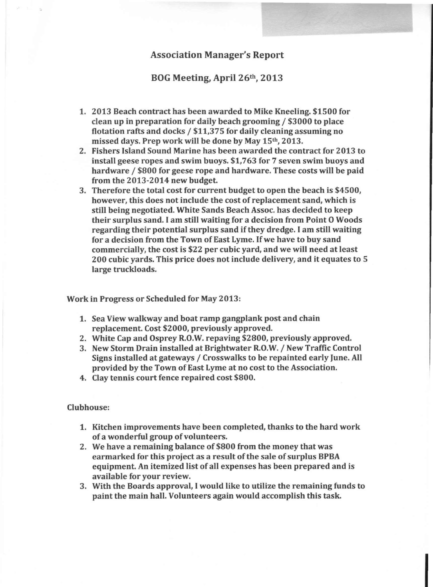## Association Manager's Report

BOG Meeting, April 26<sup>th</sup>, 2013

- 1. 2013 Beach contract has been awarded to Mike Kneeling. \$1500 for clean up in preparation for daily beach grooming / \$3000 to place flotation rafts and docks / \$11,375 for daily cleaning assuming no missed days. Prep work will be done by May 15th, 2013.
- 2. Fishers Island Sound Marine has been awarded the contract for 2013 to install geese ropes and swim buoys. \$1,763 for 7 seven swim buoys and hardware / \$800 for geese rope and hardware. These costs will be paid from the 2013-2014 new budget.
- 3. Therefore the total cost for current budget to open the beach is \$4500, however, this does not include the cost of replacement sand, which is still being negotiated. White Sands Beach Assoc. has decided to keep their surplus sand. I am still waiting for a decision from Point 0 Woods regarding their potential surplus sand if they dredge. I am still waiting for a decision from the Town of East Lyme. If we have to buy sand commercially, the cost is \$22 per cubic yard, and we will need at least 200 cubic yards. This price does not include delivery, and it equates to 5 large truckloads.

Work in Progress or Scheduled for May 2013:

- 1. Sea View walkway and boat ramp gangplank post and chain replacement. Cost \$2000, previously approved.
- 2. White Cap and Osprey R.O.W.repaving \$2800, previously approved.
- 3. New Storm Drain installed at Brightwater R.O.W./ New Traffic Control Signs installed at gateways / Crosswalks to be repainted early June. All provided by the Town of East Lyme at no cost to the Association.
- 4. Clay tennis court fence repaired cost \$800.

## Clubhouse:

- 1. Kitchen improvements have been completed, thanks to the hard work of a wonderful group of volunteers.
- 2. We have a remaining balance of \$800 from the money that was earmarked for this project as a result of the sale of surplus BPBA equipment. An itemized list of all expenses has been prepared and is available for your review.
- 3. With the Boards approval, Iwould like to utilize the remaining funds to paint the main hall. Volunteers again would accomplish this task.

In the collection of the collection of the collection of the collection of the collection of the collection of the collection of the collection of the collection of the collection of the collection of the collection of the